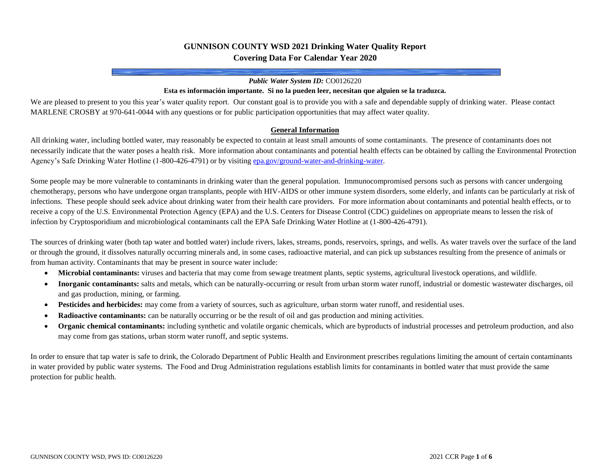## **GUNNISON COUNTY WSD 2021 Drinking Water Quality Report Covering Data For Calendar Year 2020**

#### *Public Water System ID:* CO0126220

#### **Esta es información importante. Si no la pueden leer, necesitan que alguien se la traduzca.**

We are pleased to present to you this year's water quality report. Our constant goal is to provide you with a safe and dependable supply of drinking water. Please contact MARLENE CROSBY at 970-641-0044 with any questions or for public participation opportunities that may affect water quality.

#### **General Information**

All drinking water, including bottled water, may reasonably be expected to contain at least small amounts of some contaminants. The presence of contaminants does not necessarily indicate that the water poses a health risk. More information about contaminants and potential health effects can be obtained by calling the Environmental Protection Agency's Safe Drinking Water Hotline (1-800-426-4791) or by visitin[g epa.gov/ground-water-and-drinking-water.](https://www.epa.gov/ground-water-and-drinking-water)

Some people may be more vulnerable to contaminants in drinking water than the general population. Immunocompromised persons such as persons with cancer undergoing chemotherapy, persons who have undergone organ transplants, people with HIV-AIDS or other immune system disorders, some elderly, and infants can be particularly at risk of infections. These people should seek advice about drinking water from their health care providers. For more information about contaminants and potential health effects, or to receive a copy of the U.S. Environmental Protection Agency (EPA) and the U.S. Centers for Disease Control (CDC) guidelines on appropriate means to lessen the risk of infection by Cryptosporidium and microbiological contaminants call the EPA Safe Drinking Water Hotline at (1-800-426-4791).

The sources of drinking water (both tap water and bottled water) include rivers, lakes, streams, ponds, reservoirs, springs, and wells. As water travels over the surface of the land or through the ground, it dissolves naturally occurring minerals and, in some cases, radioactive material, and can pick up substances resulting from the presence of animals or from human activity. Contaminants that may be present in source water include:

- **Microbial contaminants:** viruses and bacteria that may come from sewage treatment plants, septic systems, agricultural livestock operations, and wildlife.
- **Inorganic contaminants:** salts and metals, which can be naturally-occurring or result from urban storm water runoff, industrial or domestic wastewater discharges, oil and gas production, mining, or farming.
- **Pesticides and herbicides:** may come from a variety of sources, such as agriculture, urban storm water runoff, and residential uses.
- **Radioactive contaminants:** can be naturally occurring or be the result of oil and gas production and mining activities.
- **Organic chemical contaminants:** including synthetic and volatile organic chemicals, which are byproducts of industrial processes and petroleum production, and also may come from gas stations, urban storm water runoff, and septic systems.

In order to ensure that tap water is safe to drink, the Colorado Department of Public Health and Environment prescribes regulations limiting the amount of certain contaminants in water provided by public water systems. The Food and Drug Administration regulations establish limits for contaminants in bottled water that must provide the same protection for public health.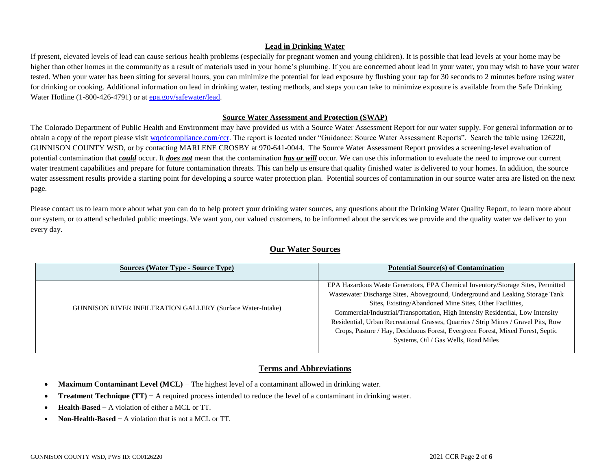### **Lead in Drinking Water**

If present, elevated levels of lead can cause serious health problems (especially for pregnant women and young children). It is possible that lead levels at your home may be higher than other homes in the community as a result of materials used in your home's plumbing. If you are concerned about lead in your water, you may wish to have your water tested. When your water has been sitting for several hours, you can minimize the potential for lead exposure by flushing your tap for 30 seconds to 2 minutes before using water for drinking or cooking. Additional information on lead in drinking water, testing methods, and steps you can take to minimize exposure is available from the Safe Drinking Water Hotline (1-800-426-4791) or a[t epa.gov/safewater/lead.](http://www.epa.gov/safewater/lead)

### **Source Water Assessment and Protection (SWAP)**

The Colorado Department of Public Health and Environment may have provided us with a Source Water Assessment Report for our water supply. For general information or to obtain a copy of the report please visit wordcompliance.com/ccr. The report is located under "Guidance: Source Water Assessment Reports". Search the table using 126220, GUNNISON COUNTY WSD, or by contacting MARLENE CROSBY at 970-641-0044. The Source Water Assessment Report provides a screening-level evaluation of potential contamination that *could* occur. It *does not* mean that the contamination *has or will* occur. We can use this information to evaluate the need to improve our current water treatment capabilities and prepare for future contamination threats. This can help us ensure that quality finished water is delivered to your homes. In addition, the source water assessment results provide a starting point for developing a source water protection plan. Potential sources of contamination in our source water area are listed on the next page.

Please contact us to learn more about what you can do to help protect your drinking water sources, any questions about the Drinking Water Quality Report, to learn more about our system, or to attend scheduled public meetings. We want you, our valued customers, to be informed about the services we provide and the quality water we deliver to you every day.

| <b>Sources (Water Type - Source Type)</b>                         | <b>Potential Source(s) of Contamination</b>                                                                                                                                                                                                                                                                                                                                                                                                                                                                                    |
|-------------------------------------------------------------------|--------------------------------------------------------------------------------------------------------------------------------------------------------------------------------------------------------------------------------------------------------------------------------------------------------------------------------------------------------------------------------------------------------------------------------------------------------------------------------------------------------------------------------|
| <b>GUNNISON RIVER INFILTRATION GALLERY (Surface Water-Intake)</b> | EPA Hazardous Waste Generators, EPA Chemical Inventory/Storage Sites, Permitted<br>Wastewater Discharge Sites, Aboveground, Underground and Leaking Storage Tank<br>Sites, Existing/Abandoned Mine Sites, Other Facilities,<br>Commercial/Industrial/Transportation, High Intensity Residential, Low Intensity<br>Residential, Urban Recreational Grasses, Quarries / Strip Mines / Gravel Pits, Row<br>Crops, Pasture / Hay, Deciduous Forest, Evergreen Forest, Mixed Forest, Septic<br>Systems, Oil / Gas Wells, Road Miles |

## **Our Water Sources**

## **Terms and Abbreviations**

- **Maximum Contaminant Level (MCL)** − The highest level of a contaminant allowed in drinking water.
- **Treatment Technique (TT)** − A required process intended to reduce the level of a contaminant in drinking water.
- **Health-Based** − A violation of either a MCL or TT.
- **Non-Health-Based** − A violation that is not a MCL or TT.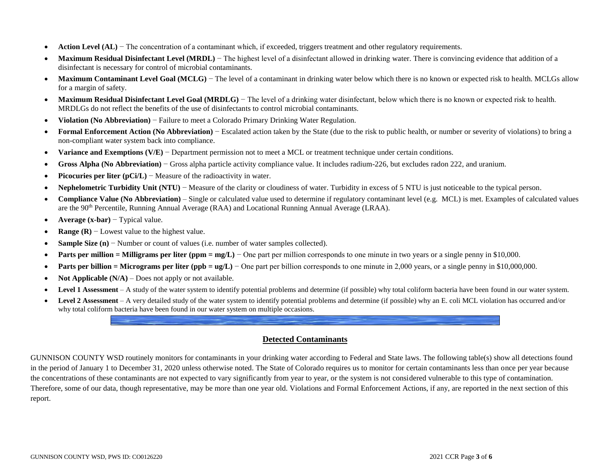- **Action Level (AL)** The concentration of a contaminant which, if exceeded, triggers treatment and other regulatory requirements.
- **Maximum Residual Disinfectant Level (MRDL)** The highest level of a disinfectant allowed in drinking water. There is convincing evidence that addition of a disinfectant is necessary for control of microbial contaminants.
- **Maximum Contaminant Level Goal (MCLG)** The level of a contaminant in drinking water below which there is no known or expected risk to health. MCLGs allow for a margin of safety.
- **Maximum Residual Disinfectant Level Goal (MRDLG)** The level of a drinking water disinfectant, below which there is no known or expected risk to health. MRDLGs do not reflect the benefits of the use of disinfectants to control microbial contaminants.
- **Violation (No Abbreviation)** − Failure to meet a Colorado Primary Drinking Water Regulation.
- **Formal Enforcement Action (No Abbreviation)** − Escalated action taken by the State (due to the risk to public health, or number or severity of violations) to bring a non-compliant water system back into compliance.
- **Variance and Exemptions (V/E)** − Department permission not to meet a MCL or treatment technique under certain conditions.
- **Gross Alpha (No Abbreviation)** − Gross alpha particle activity compliance value. It includes radium-226, but excludes radon 222, and uranium.
- **Picocuries per liter (pCi/L)** − Measure of the radioactivity in water.
- **Nephelometric Turbidity Unit (NTU)** − Measure of the clarity or cloudiness of water. Turbidity in excess of 5 NTU is just noticeable to the typical person.
- **Compliance Value (No Abbreviation)** Single or calculated value used to determine if regulatory contaminant level (e.g. MCL) is met. Examples of calculated values are the 90th Percentile, Running Annual Average (RAA) and Locational Running Annual Average (LRAA).
- **Average (x-bar)** − Typical value.
- **Range (R)** − Lowest value to the highest value.
- **Sample Size (n)** − Number or count of values (i.e. number of water samples collected).
- **Parts per million = Milligrams per liter (ppm = mg/L)** − One part per million corresponds to one minute in two years or a single penny in \$10,000.
- **Parts per billion = Micrograms per liter (ppb = ug/L)** One part per billion corresponds to one minute in 2,000 years, or a single penny in \$10,000,000.
- **Not Applicable (N/A)** Does not apply or not available.
- **Level 1 Assessment** A study of the water system to identify potential problems and determine (if possible) why total coliform bacteria have been found in our water system.
- Level 2 Assessment A very detailed study of the water system to identify potential problems and determine (if possible) why an E. coli MCL violation has occurred and/or why total coliform bacteria have been found in our water system on multiple occasions.

## **Detected Contaminants**

GUNNISON COUNTY WSD routinely monitors for contaminants in your drinking water according to Federal and State laws. The following table(s) show all detections found in the period of January 1 to December 31, 2020 unless otherwise noted. The State of Colorado requires us to monitor for certain contaminants less than once per year because the concentrations of these contaminants are not expected to vary significantly from year to year, or the system is not considered vulnerable to this type of contamination. Therefore, some of our data, though representative, may be more than one year old. Violations and Formal Enforcement Actions, if any, are reported in the next section of this report.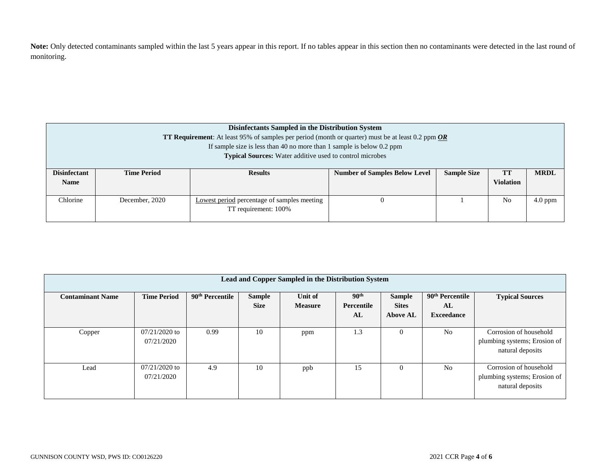Note: Only detected contaminants sampled within the last 5 years appear in this report. If no tables appear in this section then no contaminants were detected in the last round of monitoring.

| Disinfectants Sampled in the Distribution System<br><b>TT Requirement:</b> At least 95% of samples per period (month or quarter) must be at least 0.2 ppm $OR$<br>If sample size is less than 40 no more than 1 sample is below $0.2$ ppm<br><b>Typical Sources:</b> Water additive used to control microbes |                    |                                                                                                                       |  |  |                |           |  |  |
|--------------------------------------------------------------------------------------------------------------------------------------------------------------------------------------------------------------------------------------------------------------------------------------------------------------|--------------------|-----------------------------------------------------------------------------------------------------------------------|--|--|----------------|-----------|--|--|
| <b>Disinfectant</b><br><b>Name</b>                                                                                                                                                                                                                                                                           | <b>Time Period</b> | <b>Sample Size</b><br>TT<br><b>MRDL</b><br><b>Results</b><br><b>Number of Samples Below Level</b><br><b>Violation</b> |  |  |                |           |  |  |
| Chlorine                                                                                                                                                                                                                                                                                                     | December, 2020     | Lowest period percentage of samples meeting<br>TT requirement: 100%                                                   |  |  | N <sub>0</sub> | $4.0$ ppm |  |  |

| Lead and Copper Sampled in the Distribution System |                               |                             |                              |                           |                                      |                                                  |                                                        |                                                                            |  |
|----------------------------------------------------|-------------------------------|-----------------------------|------------------------------|---------------------------|--------------------------------------|--------------------------------------------------|--------------------------------------------------------|----------------------------------------------------------------------------|--|
| <b>Contaminant Name</b>                            | <b>Time Period</b>            | 90 <sup>th</sup> Percentile | <b>Sample</b><br><b>Size</b> | Unit of<br><b>Measure</b> | 90 <sup>th</sup><br>Percentile<br>AL | <b>Sample</b><br><b>Sites</b><br><b>Above AL</b> | 90 <sup>th</sup> Percentile<br>AL<br><b>Exceedance</b> | <b>Typical Sources</b>                                                     |  |
| Copper                                             | $07/21/2020$ to<br>07/21/2020 | 0.99                        | 10                           | ppm                       | 1.3                                  | $\Omega$                                         | N <sub>0</sub>                                         | Corrosion of household<br>plumbing systems; Erosion of<br>natural deposits |  |
| Lead                                               | $07/21/2020$ to<br>07/21/2020 | 4.9                         | 10                           | ppb                       | 15                                   | $\Omega$                                         | N <sub>0</sub>                                         | Corrosion of household<br>plumbing systems; Erosion of<br>natural deposits |  |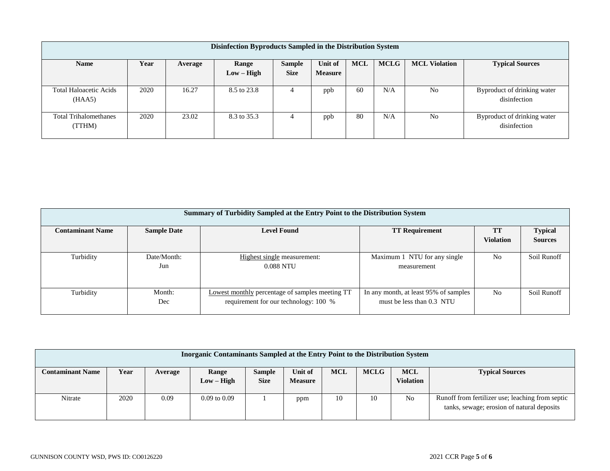| Disinfection Byproducts Sampled in the Distribution System                                                               |      |       |              |             |                |    |     |                |                                             |
|--------------------------------------------------------------------------------------------------------------------------|------|-------|--------------|-------------|----------------|----|-----|----------------|---------------------------------------------|
| <b>MCLG</b><br><b>MCL Violation</b><br><b>MCL</b><br>Year<br><b>Name</b><br><b>Sample</b><br>Unit of<br>Range<br>Average |      |       |              |             |                |    |     |                | <b>Typical Sources</b>                      |
|                                                                                                                          |      |       | $Low - High$ | <b>Size</b> | <b>Measure</b> |    |     |                |                                             |
| <b>Total Haloacetic Acids</b><br>(HAA5)                                                                                  | 2020 | 16.27 | 8.5 to 23.8  | 4           | ppb            | 60 | N/A | N <sub>0</sub> | Byproduct of drinking water<br>disinfection |
| <b>Total Trihalomethanes</b><br>(TTHM)                                                                                   | 2020 | 23.02 | 8.3 to 35.3  | 4           | ppb            | 80 | N/A | N <sub>0</sub> | Byproduct of drinking water<br>disinfection |

| <b>Summary of Turbidity Sampled at the Entry Point to the Distribution System</b> |                    |                                                        |                                       |                  |                |  |  |  |  |
|-----------------------------------------------------------------------------------|--------------------|--------------------------------------------------------|---------------------------------------|------------------|----------------|--|--|--|--|
| <b>Contaminant Name</b>                                                           | <b>Sample Date</b> | <b>Level Found</b><br><b>TT Requirement</b>            |                                       |                  |                |  |  |  |  |
|                                                                                   |                    |                                                        |                                       | <b>Violation</b> | <b>Sources</b> |  |  |  |  |
| Turbidity                                                                         | Date/Month:        | Highest single measurement:                            | Maximum 1 NTU for any single          | N <sub>0</sub>   | Soil Runoff    |  |  |  |  |
|                                                                                   | Jun                | 0.088 NTU                                              | measurement                           |                  |                |  |  |  |  |
|                                                                                   |                    |                                                        |                                       |                  |                |  |  |  |  |
| Turbidity                                                                         | Month:             | <b>Lowest monthly percentage of samples meeting TT</b> | In any month, at least 95% of samples | N <sub>0</sub>   | Soil Runoff    |  |  |  |  |
|                                                                                   | Dec                | requirement for our technology: 100 %                  | must be less than 0.3 NTU             |                  |                |  |  |  |  |

| Inorganic Contaminants Sampled at the Entry Point to the Distribution System |      |         |                       |                              |                           |            |             |                                |                                                                                                |
|------------------------------------------------------------------------------|------|---------|-----------------------|------------------------------|---------------------------|------------|-------------|--------------------------------|------------------------------------------------------------------------------------------------|
| <b>Contaminant Name</b>                                                      | Year | Average | Range<br>$Low - High$ | <b>Sample</b><br><b>Size</b> | Unit of<br><b>Measure</b> | <b>MCL</b> | <b>MCLG</b> | <b>MCL</b><br><b>Violation</b> | <b>Typical Sources</b>                                                                         |
| Nitrate                                                                      | 2020 | 0.09    | $0.09$ to $0.09$      |                              | ppm                       | 10         | 10          | N <sub>0</sub>                 | Runoff from fertilizer use; leaching from septic<br>tanks, sewage; erosion of natural deposits |